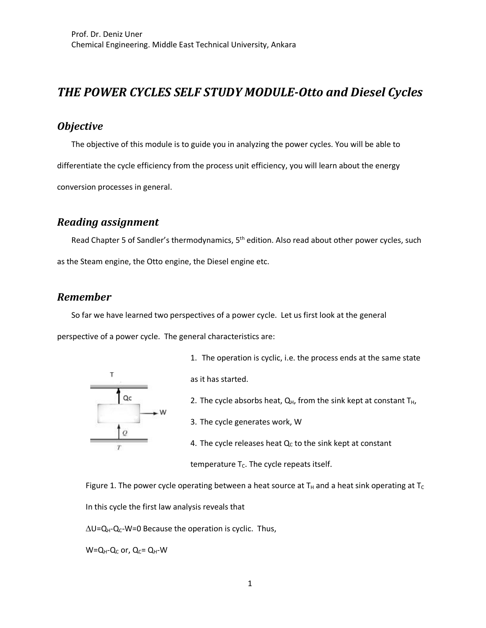# *THE POWER CYCLES SELF STUDY MODULE-Otto and Diesel Cycles*

### *Objective*

The objective of this module is to guide you in analyzing the power cycles. You will be able to differentiate the cycle efficiency from the process unit efficiency, you will learn about the energy conversion processes in general.

#### *Reading assignment*

Read Chapter 5 of Sandler's thermodynamics, 5<sup>th</sup> edition. Also read about other power cycles, such as the Steam engine, the Otto engine, the Diesel engine etc.

#### *Remember*

So far we have learned two perspectives of a power cycle. Let us first look at the general

perspective of a power cycle. The general characteristics are:



1. The operation is cyclic, i.e. the process ends at the same state

as it has started.

- 2. The cycle absorbs heat,  $Q_H$ , from the sink kept at constant  $T_H$ ,
- 3. The cycle generates work, W
- 4. The cycle releases heat  $Q<sub>C</sub>$  to the sink kept at constant

temperature  $T_c$ . The cycle repeats itself.

Figure 1. The power cycle operating between a heat source at  $T_H$  and a heat sink operating at  $T_C$ In this cycle the first law analysis reveals that

 $\Delta U = Q_{H} - Q_{C} - W = 0$  Because the operation is cyclic. Thus,

 $W=Q_H-Q_C$  or,  $Q_C=Q_H-W$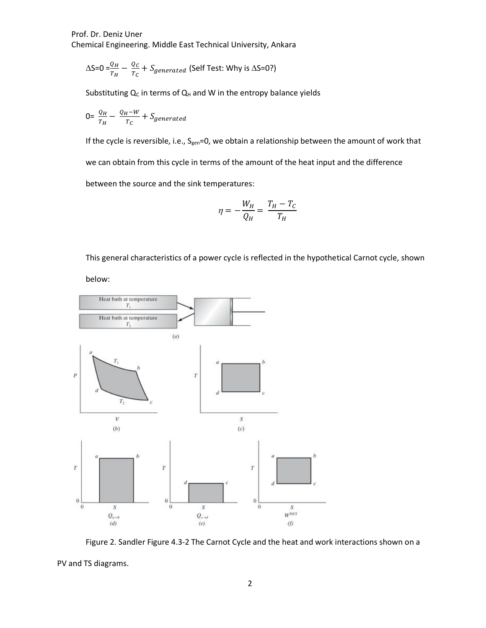$$
\Delta S = 0 = \frac{Q_H}{T_H} - \frac{Q_C}{T_C} + S_{generated}
$$
 (Self Test: Why is  $\Delta S = 0$ ?)

Substituting  $Q_C$  in terms of  $Q_H$  and W in the entropy balance yields

$$
0 = \frac{Q_H}{T_H} - \frac{Q_H - W}{T_C} + S_{generated}
$$

If the cycle is reversible, i.e., S<sub>gen</sub>=0, we obtain a relationship between the amount of work that we can obtain from this cycle in terms of the amount of the heat input and the difference between the source and the sink temperatures:

$$
\eta=-\frac{W_H}{Q_H}=\frac{T_H-T_C}{T_H}
$$

This general characteristics of a power cycle is reflected in the hypothetical Carnot cycle, shown

below:



Figure 2. Sandler Figure 4.3-2 The Carnot Cycle and the heat and work interactions shown on a

PV and TS diagrams.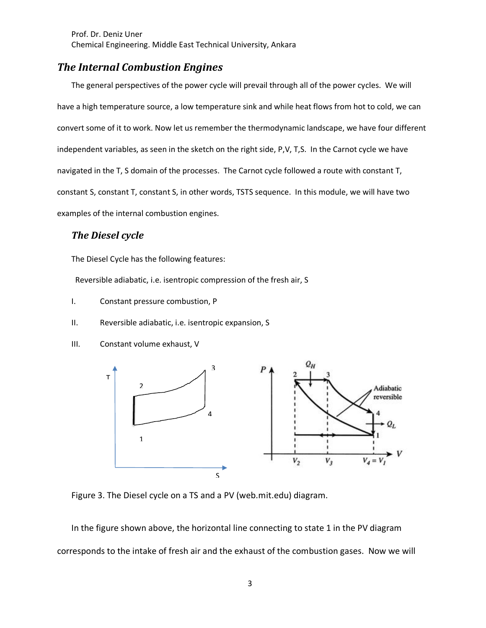### **The Internal Combustion Engines**

The general perspectives of the power cycle will prevail through all of the power cycles. We will have a high temperature source, a low temperature sink and while heat flows from hot to cold, we can convert some of it to work. Now let us remember the thermodynamic landscape, we have four different independent variables, as seen in the sketch on the right side, P,V, T,S. In the Carnot cycle we have navigated in the T, S domain of the processes. The Carnot cycle followed a route with constant T, constant S, constant T, constant S, in other words, TSTS sequence. In this module, we will have two examples of the internal combustion engines.

#### **The Diesel cycle**

The Diesel Cycle has the following features:

Reversible adiabatic, i.e. isentropic compression of the fresh air, S

- I. Constant pressure combustion, P
- II. Reversible adiabatic, i.e. isentropic expansion, S
- III. Constant volume exhaust, V



Figure 3. The Diesel cycle on a TS and a PV (web.mit.edu) diagram.

In the figure shown above, the horizontal line connecting to state 1 in the PV diagram corresponds to the intake of fresh air and the exhaust of the combustion gases. Now we will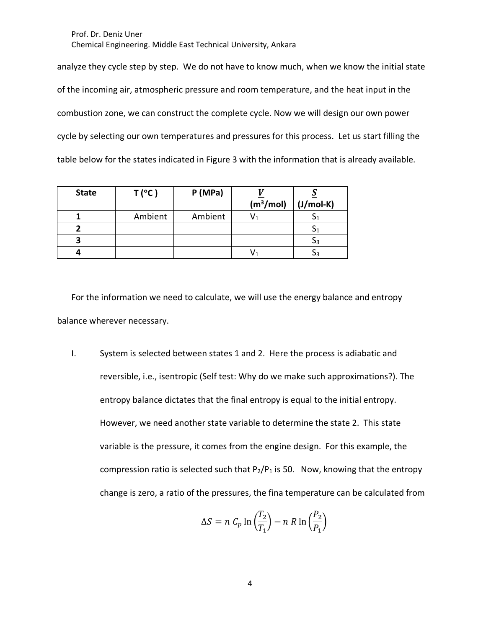analyze they cycle step by step. We do not have to know much, when we know the initial state of the incoming air, atmospheric pressure and room temperature, and the heat input in the combustion zone, we can construct the complete cycle. Now we will design our own power cycle by selecting our own temperatures and pressures for this process. Let us start filling the table below for the states indicated in Figure 3 with the information that is already available.

| <b>State</b> | $T(^{\circ}C)$ | P(MPa)  | $\sqrt{m^3/mol}$ | $(J/mol-K)$ |
|--------------|----------------|---------|------------------|-------------|
|              | Ambient        | Ambient |                  |             |
|              |                |         |                  |             |
|              |                |         |                  |             |
|              |                |         |                  |             |

For the information we need to calculate, we will use the energy balance and entropy balance wherever necessary.

I. System is selected between states 1 and 2. Here the process is adiabatic and reversible, i.e., isentropic (Self test: Why do we make such approximations?). The entropy balance dictates that the final entropy is equal to the initial entropy. However, we need another state variable to determine the state 2. This state variable is the pressure, it comes from the engine design. For this example, the compression ratio is selected such that  $P_2/P_1$  is 50. Now, knowing that the entropy change is zero, a ratio of the pressures, the fina temperature can be calculated from

$$
\Delta S = n C_p \ln \left(\frac{T_2}{T_1}\right) - n R \ln \left(\frac{P_2}{P_1}\right)
$$

4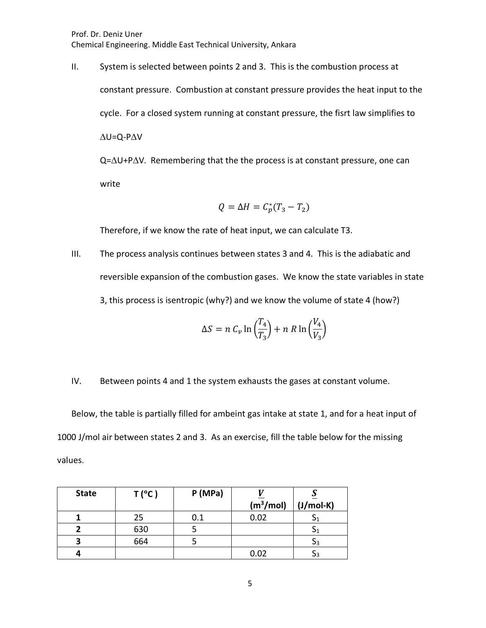Prof. Dr. Deniz Uner

Chemical Engineering. Middle East Technical University, Ankara

II. System is selected between points 2 and 3. This is the combustion process at constant pressure. Combustion at constant pressure provides the heat input to the cycle. For a closed system running at constant pressure, the fisrt law simplifies to  $\Delta U = Q - P \Delta V$  $Q = \Delta U + P \Delta V$ . Remembering that the the process is at constant pressure, one can

write

$$
Q = \Delta H = C_p^*(T_3 - T_2)
$$

Therefore, if we know the rate of heat input, we can calculate T3.

III. The process analysis continues between states 3 and 4. This is the adiabatic and reversible expansion of the combustion gases. We know the state variables in state 3, this process is isentropic (why?) and we know the volume of state 4 (how?)

$$
\Delta S = n C_v \ln \left( \frac{T_4}{T_3} \right) + n R \ln \left( \frac{V_4}{V_3} \right)
$$

IV. Between points 4 and 1 the system exhausts the gases at constant volume.

Below, the table is partially filled for ambeint gas intake at state 1, and for a heat input of 1000 J/mol air between states 2 and 3. As an exercise, fill the table below for the missing values.

| <b>State</b> | $T(^{\circ}C)$ | P(MPa) |                  |             |
|--------------|----------------|--------|------------------|-------------|
|              |                |        | $\sqrt{m^3/mol}$ | $(J/mol-K)$ |
|              | 25             | 0.1    | 0.02             | -21         |
|              | 630            |        |                  | 51          |
|              | 664            |        |                  | SЗ          |
|              |                |        | 0.02             | Э3          |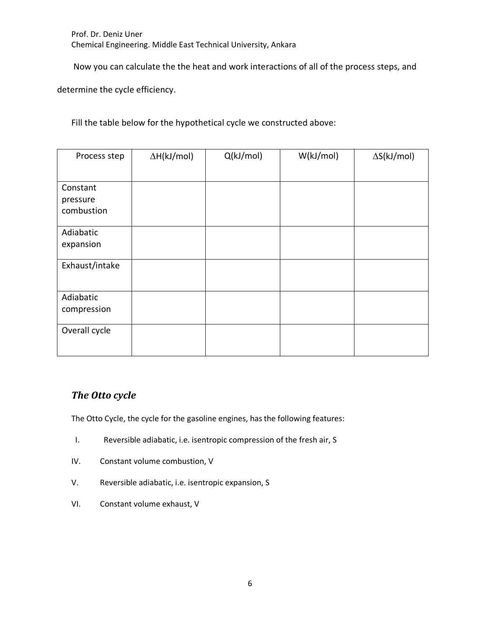Now you can calculate the the heat and work interactions of all of the process steps, and

determine the cycle efficiency.

Fill the table below for the hypothetical cycle we constructed above:

| Process step   | $\Delta H(kJ/mol)$ | Q(kJ/mol) | W(kJ/mol) | $\Delta S(kJ/mol)$ |
|----------------|--------------------|-----------|-----------|--------------------|
|                |                    |           |           |                    |
| Constant       |                    |           |           |                    |
| pressure       |                    |           |           |                    |
| combustion     |                    |           |           |                    |
| Adiabatic      |                    |           |           |                    |
| expansion      |                    |           |           |                    |
| Exhaust/intake |                    |           |           |                    |
| Adiabatic      |                    |           |           |                    |
| compression    |                    |           |           |                    |
| Overall cycle  |                    |           |           |                    |

### *The Otto cycle*

The Otto Cycle, the cycle for the gasoline engines, has the following features:

- I. Reversible adiabatic, i.e. isentropic compression of the fresh air, S
- IV. Constant volume combustion, V
- V. Reversible adiabatic, i.e. isentropic expansion, S
- VI. Constant volume exhaust, V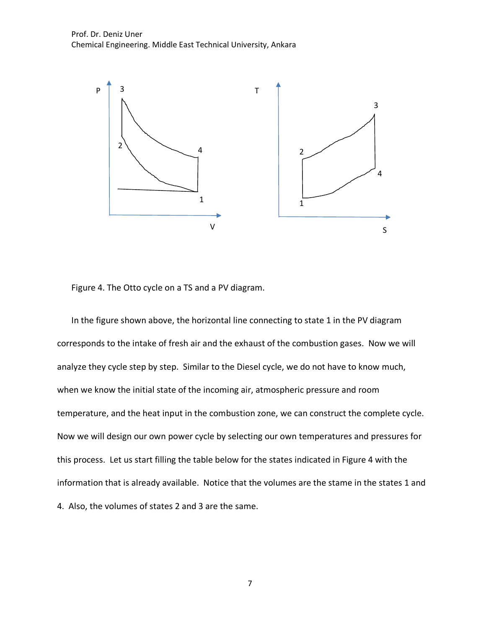

Figure 4. The Otto cycle on a TS and a PV diagram.

In the figure shown above, the horizontal line connecting to state 1 in the PV diagram corresponds to the intake of fresh air and the exhaust of the combustion gases. Now we will analyze they cycle step by step. Similar to the Diesel cycle, we do not have to know much, when we know the initial state of the incoming air, atmospheric pressure and room temperature, and the heat input in the combustion zone, we can construct the complete cycle. Now we will design our own power cycle by selecting our own temperatures and pressures for this process. Let us start filling the table below for the states indicated in Figure 4 with the information that is already available. Notice that the volumes are the stame in the states 1 and 4. Also, the volumes of states 2 and 3 are the same.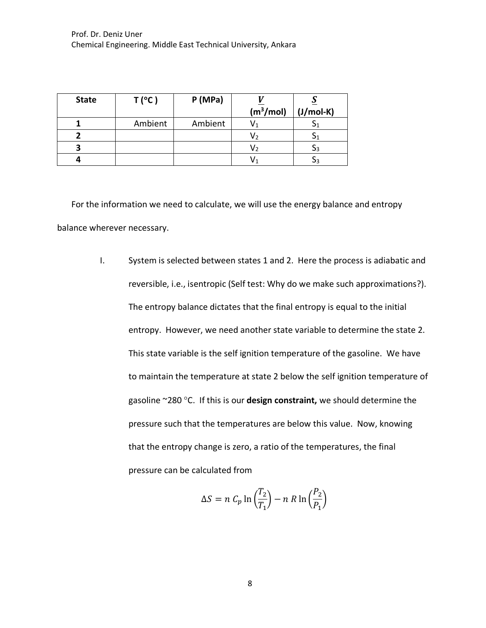| <b>State</b> | $T(^{\circ}C)$ | P(MPa)  |                  |                |
|--------------|----------------|---------|------------------|----------------|
|              |                |         | $\sqrt{m^3/mol}$ | $(J/mol-K)$    |
|              | Ambient        | Ambient | v٠               |                |
|              |                |         | V۶               |                |
|              |                |         | V2               | 3 <sup>3</sup> |
|              |                |         |                  | эз             |

For the information we need to calculate, we will use the energy balance and entropy balance wherever necessary.

> I. System is selected between states 1 and 2. Here the process is adiabatic and reversible, i.e., isentropic (Self test: Why do we make such approximations?). The entropy balance dictates that the final entropy is equal to the initial entropy. However, we need another state variable to determine the state 2. This state variable is the self ignition temperature of the gasoline. We have to maintain the temperature at state 2 below the self ignition temperature of gasoline ~280 °C. If this is our **design constraint,** we should determine the pressure such that the temperatures are below this value. Now, knowing that the entropy change is zero, a ratio of the temperatures, the final pressure can be calculated from

$$
\Delta S = n C_p \ln \left(\frac{T_2}{T_1}\right) - n R \ln \left(\frac{P_2}{P_1}\right)
$$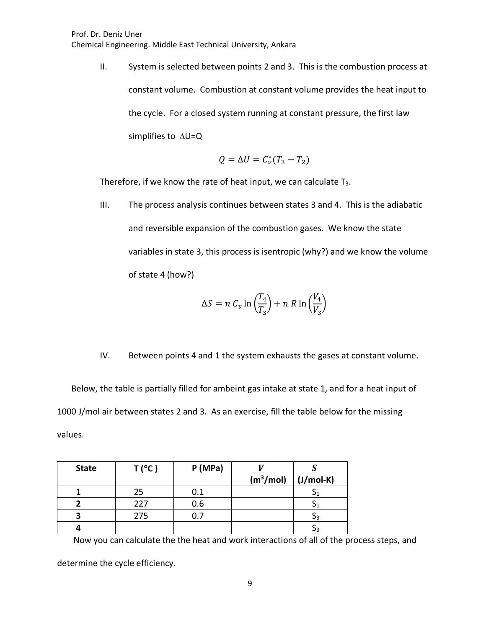II. System is selected between points 2 and 3. This is the combustion process at constant volume. Combustion at constant volume provides the heat input to the cycle. For a closed system running at constant pressure, the first law simplifies to  $\Delta U = Q$ 

$$
Q = \Delta U = C_v^*(T_3 - T_2)
$$

Therefore, if we know the rate of heat input, we can calculate  $T_3$ .

III. The process analysis continues between states 3 and 4. This is the adiabatic and reversible expansion of the combustion gases. We know the state variables in state 3, this process is isentropic (why?) and we know the volume of state 4 (how?)

$$
\Delta S = n C_v \ln \left( \frac{T_4}{T_3} \right) + n R \ln \left( \frac{V_4}{V_3} \right)
$$

IV. Between points 4 and 1 the system exhausts the gases at constant volume.

Below, the table is partially filled for ambeint gas intake at state 1, and for a heat input of 1000 J/mol air between states 2 and 3. As an exercise, fill the table below for the missing values.

| <b>State</b> | $T(^{\circ}C)$ | P(MPa) |                  |             |
|--------------|----------------|--------|------------------|-------------|
|              |                |        | $\sqrt{m^3/mol}$ | $(J/mol-K)$ |
|              | 25             | 0.1    |                  | υΊ          |
|              | 227            | 0.6    |                  |             |
|              | 275            |        |                  | эз          |
|              |                |        |                  | ΟЗ          |

Now you can calculate the the heat and work interactions of all of the process steps, and

determine the cycle efficiency.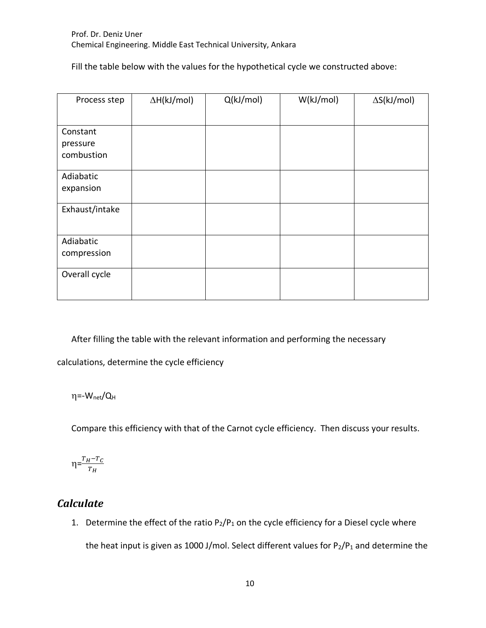Fill the table below with the values for the hypothetical cycle we constructed above:

| Process step           | $\Delta H(kJ/mol)$ | Q(kJ/mol) | W(kJ/mol) | $\Delta S(kJ/mol)$ |
|------------------------|--------------------|-----------|-----------|--------------------|
|                        |                    |           |           |                    |
| Constant               |                    |           |           |                    |
| pressure<br>combustion |                    |           |           |                    |
|                        |                    |           |           |                    |
| Adiabatic              |                    |           |           |                    |
| expansion              |                    |           |           |                    |
| Exhaust/intake         |                    |           |           |                    |
| Adiabatic              |                    |           |           |                    |
| compression            |                    |           |           |                    |
| Overall cycle          |                    |           |           |                    |

After filling the table with the relevant information and performing the necessary

calculations, determine the cycle efficiency

η=-W<sub>net</sub>/Q<sub>H</sub>

Compare this efficiency with that of the Carnot cycle efficiency. Then discuss your results.

$$
\eta = \frac{T_H - T_C}{T_H}
$$

## *Calculate*

1. Determine the effect of the ratio  $P_2/P_1$  on the cycle efficiency for a Diesel cycle where the heat input is given as 1000 J/mol. Select different values for  $P_2/P_1$  and determine the